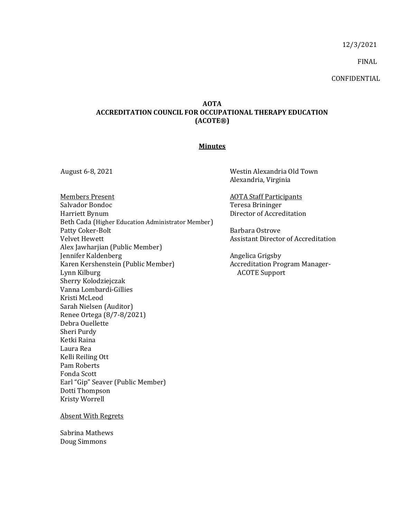12/3/2021

FINAL

CONFIDENTIAL

## **AOTA ACCREDITATION COUNCIL FOR OCCUPATIONAL THERAPY EDUCATION (ACOTE®)**

## **Minutes**

Members Present **Members** Present **AOTA** Staff Participants Salvador Bondoc Harriett Bynum Beth Cada (Higher Education Administrator Member) Patty Coker-Bolt Velvet Hewett Alex Jawharjian (Public Member) Jennifer Kaldenberg Karen Kershenstein (Public Member) Lynn Kilburg Sherry Kolodziejczak Vanna Lombardi-Gillies Kristi McLeod Sarah Nielsen (Auditor) Renee Ortega (8/7-8/2021) Debra Ouellette Sheri Purdy Ketki Raina Laura Rea Kelli Reiling Ott Pam Roberts Fonda Scott Earl "Gip" Seaver (Public Member) Dotti Thompson Kristy Worrell

August 6-8, 2021 Westin Alexandria Old Town Alexandria, Virginia

> Teresa Brininger Director of Accreditation

Barbara Ostrove Assistant Director of Accreditation

Angelica Grigsby Accreditation Program Manager-ACOTE Support

Absent With Regrets

Sabrina Mathews Doug Simmons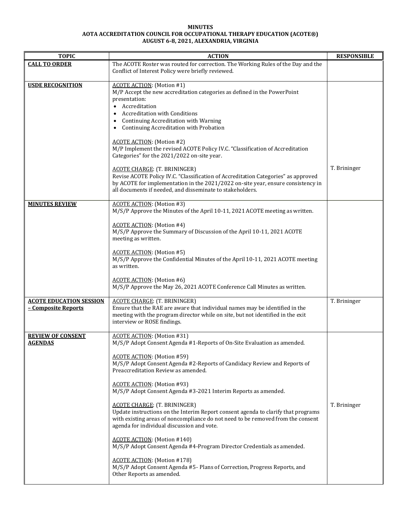## **MINUTES AOTA ACCREDITATION COUNCIL FOR OCCUPATIONAL THERAPY EDUCATION (ACOTE®) AUGUST 6-8, 2021, ALEXANDRIA, VIRGINIA**

| <b>TOPIC</b>                                          | <b>ACTION</b>                                                                                                                                                                                                                                                                                                                                                                                                                                                                                                                                                                                                                                                                                                                                                                                                                                                                                            | <b>RESPONSIBLE</b> |
|-------------------------------------------------------|----------------------------------------------------------------------------------------------------------------------------------------------------------------------------------------------------------------------------------------------------------------------------------------------------------------------------------------------------------------------------------------------------------------------------------------------------------------------------------------------------------------------------------------------------------------------------------------------------------------------------------------------------------------------------------------------------------------------------------------------------------------------------------------------------------------------------------------------------------------------------------------------------------|--------------------|
| <b>CALL TO ORDER</b>                                  | The ACOTE Roster was routed for correction. The Working Rules of the Day and the<br>Conflict of Interest Policy were briefly reviewed.                                                                                                                                                                                                                                                                                                                                                                                                                                                                                                                                                                                                                                                                                                                                                                   |                    |
| <b>USDE RECOGNITION</b>                               | <b>ACOTE ACTION:</b> (Motion #1)<br>M/P Accept the new accreditation categories as defined in the PowerPoint<br>presentation:<br>Accreditation<br><b>Accreditation with Conditions</b><br>Continuing Accreditation with Warning<br>$\bullet$<br>Continuing Accreditation with Probation<br><b>ACOTE ACTION:</b> (Motion #2)<br>M/P Implement the revised ACOTE Policy IV.C. "Classification of Accreditation<br>Categories" for the 2021/2022 on-site year.                                                                                                                                                                                                                                                                                                                                                                                                                                              |                    |
|                                                       | <b>ACOTE CHARGE: (T. BRININGER)</b><br>Revise ACOTE Policy IV.C. "Classification of Accreditation Categories" as approved<br>by ACOTE for implementation in the 2021/2022 on-site year, ensure consistency in<br>all documents if needed, and disseminate to stakeholders.                                                                                                                                                                                                                                                                                                                                                                                                                                                                                                                                                                                                                               | T. Brininger       |
| <b>MINUTES REVIEW</b>                                 | <b>ACOTE ACTION:</b> (Motion #3)<br>M/S/P Approve the Minutes of the April 10-11, 2021 ACOTE meeting as written.<br><b>ACOTE ACTION:</b> (Motion #4)                                                                                                                                                                                                                                                                                                                                                                                                                                                                                                                                                                                                                                                                                                                                                     |                    |
|                                                       | M/S/P Approve the Summary of Discussion of the April 10-11, 2021 ACOTE<br>meeting as written.<br><b>ACOTE ACTION:</b> (Motion #5)<br>M/S/P Approve the Confidential Minutes of the April 10-11, 2021 ACOTE meeting<br>as written.<br><b>ACOTE ACTION:</b> (Motion #6)<br>M/S/P Approve the May 26, 2021 ACOTE Conference Call Minutes as written.                                                                                                                                                                                                                                                                                                                                                                                                                                                                                                                                                        |                    |
| <b>ACOTE EDUCATION SESSION</b><br>- Composite Reports | <b>ACOTE CHARGE: (T. BRININGER)</b><br>Ensure that the RAE are aware that individual names may be identified in the<br>meeting with the program director while on site, but not identified in the exit<br>interview or ROSE findings.                                                                                                                                                                                                                                                                                                                                                                                                                                                                                                                                                                                                                                                                    | T. Brininger       |
| <b>REVIEW OF CONSENT</b><br><b>AGENDAS</b>            | <b>ACOTE ACTION:</b> (Motion #31)<br>M/S/P Adopt Consent Agenda #1-Reports of On-Site Evaluation as amended.<br><b>ACOTE ACTION:</b> (Motion #59)<br>M/S/P Adopt Consent Agenda #2-Reports of Candidacy Review and Reports of<br>Preaccreditation Review as amended.<br><b>ACOTE ACTION:</b> (Motion #93)<br>M/S/P Adopt Consent Agenda #3-2021 Interim Reports as amended.<br><b>ACOTE CHARGE: (T. BRININGER)</b><br>Update instructions on the Interim Report consent agenda to clarify that programs<br>with existing areas of noncompliance do not need to be removed from the consent<br>agenda for individual discussion and vote.<br><b>ACOTE ACTION:</b> (Motion #140)<br>M/S/P Adopt Consent Agenda #4-Program Director Credentials as amended.<br><b>ACOTE ACTION:</b> (Motion #178)<br>M/S/P Adopt Consent Agenda #5- Plans of Correction, Progress Reports, and<br>Other Reports as amended. | T. Brininger       |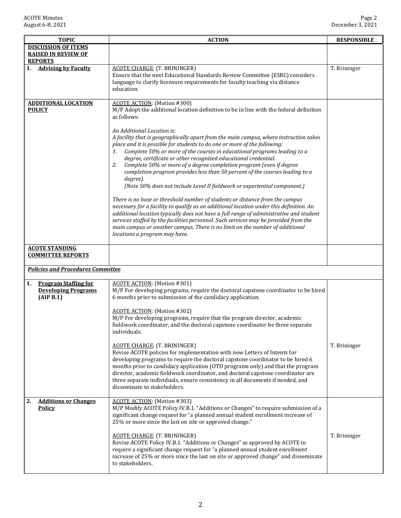| <b>TOPIC</b>                                                                 | <b>ACTION</b>                                                                                                                                                                                                                                                                                                                                                                                                                                                                                                                                                                                                                                                                                                                                                                                                                                                                                                                                                                                                                                                                                                           | <b>RESPONSIBLE</b> |
|------------------------------------------------------------------------------|-------------------------------------------------------------------------------------------------------------------------------------------------------------------------------------------------------------------------------------------------------------------------------------------------------------------------------------------------------------------------------------------------------------------------------------------------------------------------------------------------------------------------------------------------------------------------------------------------------------------------------------------------------------------------------------------------------------------------------------------------------------------------------------------------------------------------------------------------------------------------------------------------------------------------------------------------------------------------------------------------------------------------------------------------------------------------------------------------------------------------|--------------------|
| <b>DISCUSSION OF ITEMS</b><br><b>RAISED IN REVIEW OF</b><br><b>REPORTS</b>   |                                                                                                                                                                                                                                                                                                                                                                                                                                                                                                                                                                                                                                                                                                                                                                                                                                                                                                                                                                                                                                                                                                                         |                    |
| <b>Advising by Faculty</b>                                                   | <b>ACOTE CHARGE: (T. BRININGER)</b><br>Ensure that the next Educational Standards Review Committee (ESRC) considers<br>language to clarify licensure requirements for faculty teaching via distance<br>education.                                                                                                                                                                                                                                                                                                                                                                                                                                                                                                                                                                                                                                                                                                                                                                                                                                                                                                       | T. Brininger       |
| <b>ADDITIONAL LOCATION</b><br><b>POLICY</b>                                  | <b>ACOTE ACTION:</b> (Motion #300)<br>M/P Adopt the additional location definition to be in line with the federal definition<br>as follows:<br>An Additional Location is:<br>A facility that is geographically apart from the main campus, where instruction takes<br>place and it is possible for students to do one or more of the following:<br>Complete 50% or more of the courses in educational programs leading to a<br>1.<br>degree, certificate or other recognized educational credential.<br>Complete 50% or more of a degree completion program (even if degree<br>2.<br>completion program provides less than 50 percent of the courses leading to a<br>degree).<br>(Note 50% does not include Level II fieldwork or experiential component.)<br>There is no base or threshold number of students or distance from the campus<br>necessary for a facility to qualify as an additional location under this definition. An<br>additional location typically does not have a full range of administrative and student<br>services staffed by the facilities personnel. Such services may be provided from the |                    |
| <b>ACOTE STANDING</b>                                                        | main campus or another campus. There is no limit on the number of additional<br>locations a program may have.                                                                                                                                                                                                                                                                                                                                                                                                                                                                                                                                                                                                                                                                                                                                                                                                                                                                                                                                                                                                           |                    |
| <b>COMMITTEE REPORTS</b>                                                     |                                                                                                                                                                                                                                                                                                                                                                                                                                                                                                                                                                                                                                                                                                                                                                                                                                                                                                                                                                                                                                                                                                                         |                    |
| <b>Policies and Procedures Committee</b>                                     |                                                                                                                                                                                                                                                                                                                                                                                                                                                                                                                                                                                                                                                                                                                                                                                                                                                                                                                                                                                                                                                                                                                         |                    |
| <b>Program Staffing for</b><br>1.<br><b>Developing Programs</b><br>(AIP B.1) | <b>ACOTE ACTION:</b> (Motion #301)<br>M/P For developing programs, require the doctoral capstone coordinator to be hired<br>6 months prior to submission of the candidacy application.<br><b>ACOTE ACTION:</b> (Motion #302)<br>M/P For developing programs, require that the program director, academic<br>fieldwork coordinator, and the doctoral capstone coordinator be three separate<br>individuals.<br><b>ACOTE CHARGE: (T. BRININGER)</b><br>Revise ACOTE policies for implementation with new Letters of Intents for<br>developing programs to require the doctoral capstone coordinator to be hired 6<br>months prior to candidacy application (OTD programs only) and that the program<br>director, academic fieldwork coordinator, and doctoral capstone coordinator are<br>three separate individuals, ensure consistency in all documents if needed, and<br>disseminate to stakeholders.                                                                                                                                                                                                                  | T. Brininger       |
| <b>Additions or Changes</b><br>2.<br><b>Policy</b>                           | <b>ACOTE ACTION:</b> (Motion #303)<br>M/P Modify ACOTE Policy IV.B.1. "Additions or Changes" to require submission of a<br>significant change request for "a planned annual student enrollment increase of<br>25% or more since the last on site or approved change."<br><b>ACOTE CHARGE: (T. BRININGER)</b><br>Revise ACOTE Policy IV.B.1. "Additions or Changes" as approved by ACOTE to<br>require a significant change request for "a planned annual student enrollment<br>increase of 25% or more since the last on site or approved change" and disseminate<br>to stakeholders.                                                                                                                                                                                                                                                                                                                                                                                                                                                                                                                                   | T. Brininger       |